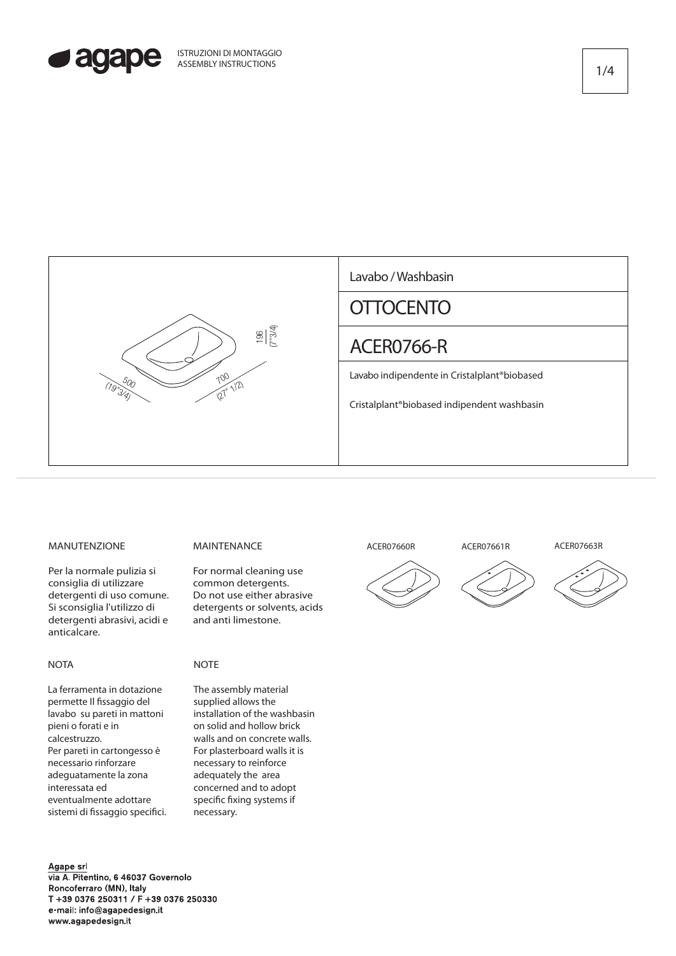



## MANUTENZIONE

Per la normale pulizia si consiglia di utilizzare detergenti di uso comune. Si sconsiglia l'utilizzo di detergenti abrasivi, acidi e anticalcare.

### **NOTA**

La ferramenta in dotazione permette Il fissaggio del lavabo su pareti in mattoni pieni o forati e in calcestruzzo. Per pareti in cartongesso è necessario rinforzare adeguatamente la zona interessata ed eventualmente adottare sistemi di fissaggio specifici.

#### Agape srl via A. Pitentino, 6 46037 Governolo Roncoferraro (MN), Italy T +39 0376 250311 / F +39 0376 250330 e-mail: info@agapedesign.it www.agapedesign.it

# MAINTENANCE

For normal cleaning use common detergents. Do not use either abrasive detergents or solvents, acids and anti limestone.

## **NOTE**

The assembly material supplied allows the installation of the washbasin on solid and hollow brick walls and on concrete walls. For plasterboard walls it is necessary to reinforce adequately the area concerned and to adopt specific fixing systems if necessary.

# **ACER07660R ACER07661R ACER07663R**





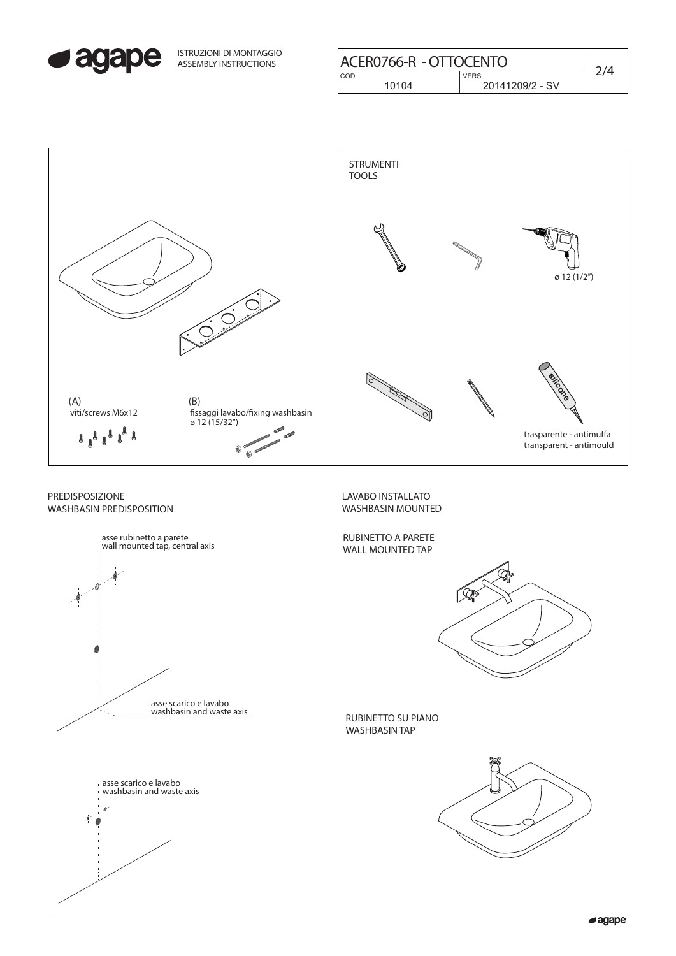

ISTRUZIONI DI MONTAGGIO ASSEMBLY INSTRUCTIONS

| COD.<br><b>VERS</b> | ACER0766-R - OTTOCENTO |       |                 |  |
|---------------------|------------------------|-------|-----------------|--|
|                     |                        |       |                 |  |
|                     |                        | 10104 | 20141209/2 - SV |  |

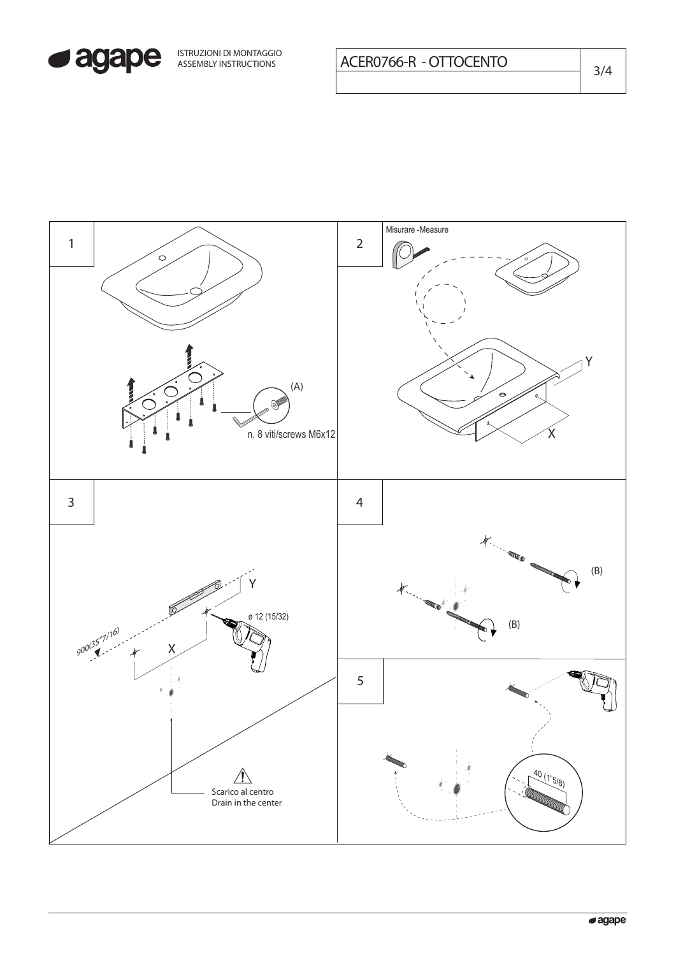

 $3/4$